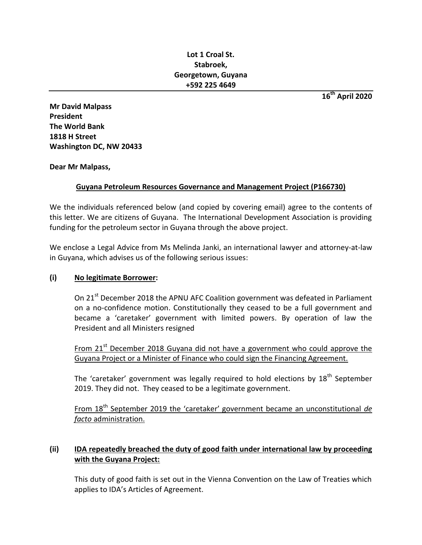## **Lot 1 Croal St. Stabroek, Georgetown, Guyana +592 225 4649**

**16th April 2020**

**Mr David Malpass President The World Bank 1818 H Street Washington DC, NW 20433**

**Dear Mr Malpass,**

# **Guyana Petroleum Resources Governance and Management Project (P166730)**

We the individuals referenced below (and copied by covering email) agree to the contents of this letter. We are citizens of Guyana. The International Development Association is providing funding for the petroleum sector in Guyana through the above project.

We enclose a Legal Advice from Ms Melinda Janki, an international lawyer and attorney-at-law in Guyana, which advises us of the following serious issues:

### **(i) No legitimate Borrower:**

On 21<sup>st</sup> December 2018 the APNU AFC Coalition government was defeated in Parliament on a no-confidence motion. Constitutionally they ceased to be a full government and became a 'caretaker' government with limited powers. By operation of law the President and all Ministers resigned

From 21<sup>st</sup> December 2018 Guyana did not have a government who could approve the Guyana Project or a Minister of Finance who could sign the Financing Agreement.

The 'caretaker' government was legally required to hold elections by  $18^{th}$  September 2019. They did not. They ceased to be a legitimate government.

From 18<sup>th</sup> September 2019 the 'caretaker' government became an unconstitutional de *facto* administration.

# **(ii) IDA repeatedly breached the duty of good faith under international law by proceeding with the Guyana Project:**

This duty of good faith is set out in the Vienna Convention on the Law of Treaties which applies to IDA's Articles of Agreement.